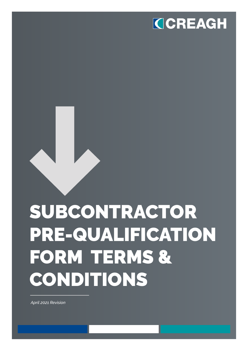

# SUBCONTRACTOR PRE-QUALIFICATION FORM TERMS & CONDITIONS

*April 2021 Revision*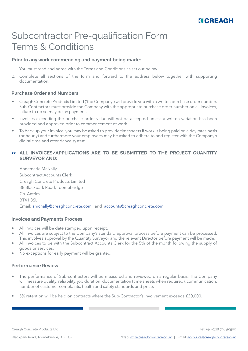

### Subcontractor Pre-qualification Form Terms & Conditions

#### **Prior to any work commencing and payment being made:**

- 1. You must read and agree with the Terms and Conditions as set out below.
- 2. Complete all sections of the form and forward to the address below together with supporting documentation.

#### **Purchase Order and Numbers**

- Creagh Concrete Products Limited ('the Company') will provide you with a written purchase order number. Sub-Contractors must provide the Company with the appropriate purchase order number on all invoices, failure to do so may delay payment.
- Invoices exceeding the purchase order value will not be accepted unless a written variation has been provided and approved prior to commencement of work.
- To back up your invoice, you may be asked to provide timesheets if work is being paid on a day rates basis (or hourly) and furthermore your employees may be asked to adhere to and register with the Company's digital time and attendance system.

#### **ALL INVOICES/APPLICATIONS ARE TO BE SUBMITTED TO THE PROJECT QUANTITY >> SURVEYOR AND:**

Annemarie McNally Subcontract Accounts Clerk Creagh Concrete Products Limited 38 Blackpark Road, Toomebridge Co. Antrim BT41 3SL Email: amcnally@creaghconcrete.com and accounts@creaghconcrete.com

#### **Invoices and Payments Process**

- All invoices will be date stamped upon receipt.
- All invoices are subject to the Company's standard approval process before payment can be processed. This involves approval by the Quantity Surveyor and the relevant Director before payment will be made.
- All invoices to be with the Subcontract Accounts Clerk for the 5th of the month following the supply of goods or services.
- No exceptions for early payment will be granted.

#### **Performance Review**

- The performance of Sub-contractors will be measured and reviewed on a regular basis. The Company will measure quality, reliability, job duration, documentation (time sheets when required), communication, number of customer complaints, health and safety standards and price.
- 5% retention will be held on contracts where the Sub-Contractor's involvement exceeds £20,000.

Creagh Concrete Products Ltd

Tel: +44 (0)28 796 50500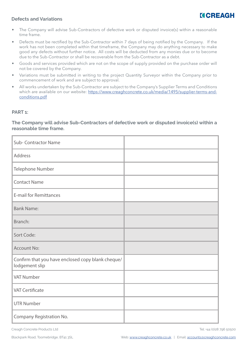#### **Defects and Variations**



- The Company will advise Sub-Contractors of defective work or disputed invoice(s) within a reasonable time frame.
- Defects must be rectified by the Sub-Contractor within 7 days of being notified by the Company. If the work has not been completed within that timeframe, the Company may do anything necessary to make good any defects without further notice. All costs will be deducted from any monies due or to become due to the Sub-Contractor or shall be recoverable from the Sub-Contractor as a debt.
- Goods and services provided which are not on the scope of supply provided on the purchase order will not be covered by the Company.
- Variations must be submitted in writing to the project Quantity Surveyor within the Company prior to commencement of work and are subject to approval.
- All works undertaken by the Sub-Contractor are subject to the Company's Supplier Terms and Conditions which are available on our website: https://www.creaghconcrete.co.uk/media/1495/supplier-terms-andconditions.pdf

#### **PART 1:**

#### **The Company will advise Sub-Contractors of defective work or disputed invoice(s) within a reasonable time frame.**

| <b>Sub-Contractor Name</b>                                          |  |
|---------------------------------------------------------------------|--|
| <b>Address</b>                                                      |  |
| Telephone Number                                                    |  |
| <b>Contact Name</b>                                                 |  |
| <b>E-mail for Remittances</b>                                       |  |
| <b>Bank Name:</b>                                                   |  |
| Branch:                                                             |  |
| Sort Code:                                                          |  |
| <b>Account No:</b>                                                  |  |
| Confirm that you have enclosed copy blank cheque/<br>lodgement slip |  |
| <b>VAT Number</b>                                                   |  |
| <b>VAT Certificate</b>                                              |  |
| <b>UTR Number</b>                                                   |  |
| Company Registration No.                                            |  |

Creagh Concrete Products Ltd

Tel: +44 (0)28 796 50500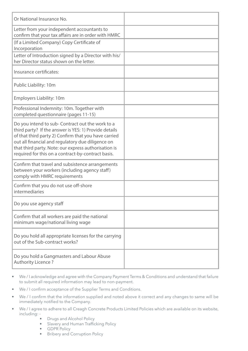| Or National Insurance No.                                                                                                                                                                                                                                                                                                            |  |
|--------------------------------------------------------------------------------------------------------------------------------------------------------------------------------------------------------------------------------------------------------------------------------------------------------------------------------------|--|
| Letter from your independent accountants to<br>confirm that your tax affairs are in order with HMRC                                                                                                                                                                                                                                  |  |
| (If a Limited Company) Copy Certificate of<br>Incorporation                                                                                                                                                                                                                                                                          |  |
| Letter of Introduction signed by a Director with his/<br>her Director status shown on the letter.                                                                                                                                                                                                                                    |  |
| Insurance certificates:                                                                                                                                                                                                                                                                                                              |  |
| Public Liability: 10m                                                                                                                                                                                                                                                                                                                |  |
| <b>Employers Liability: 10m</b>                                                                                                                                                                                                                                                                                                      |  |
| Professional Indemnity: 10m. Together with<br>completed questionnaire (pages 11-15)                                                                                                                                                                                                                                                  |  |
| Do you intend to sub- Contract out the work to a<br>third party? If the answer is YES: 1) Provide details<br>of that third party 2) Confirm that you have carried<br>out all financial and regulatory due diligence on<br>that third party. Note: our express authorisation is<br>required for this on a contract-by-contract basis. |  |
| Confirm that travel and subsistence arrangements<br>between your workers (including agency staff)<br>comply with HMRC requirements                                                                                                                                                                                                   |  |
| Confirm that you do not use off-shore<br>intermediaries                                                                                                                                                                                                                                                                              |  |
| Do you use agency staff                                                                                                                                                                                                                                                                                                              |  |
| Confirm that all workers are paid the national<br>minimum wage/national living wage                                                                                                                                                                                                                                                  |  |
| Do you hold all appropriate licenses for the carrying<br>out of the Sub-contract works?                                                                                                                                                                                                                                              |  |
| Do you hold a Gangmasters and Labour Abuse<br>Authority Licence?                                                                                                                                                                                                                                                                     |  |

- We / I acknowledge and agree with the Company Payment Terms & Conditions and understand that failure to submit all required information may lead to non-payment.
- We / I confirm acceptance of the Supplier Terms and Conditions.
- We / I confirm that the information supplied and noted above it correct and any changes to same will be immediately notified to the Company.
- We / I agree to adhere to all Creagh Concrete Products Limited Policies which are available on its website, including: -
	- Drugs and Alcohol Policy
	- Slavery and Human Trafficking Policy
	- GDPR Policy
	- **Bribery and Corruption Policy**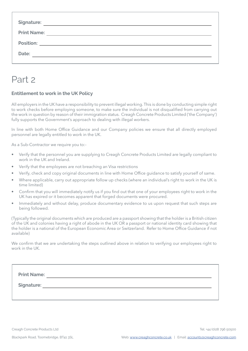| <b>Signature:</b>  |
|--------------------|
| <b>Print Name:</b> |
|                    |
| Date:              |
|                    |

# Part 2

#### **Entitlement to work in the UK Policy**

All employers in the UK have a responsibility to prevent illegal working. This is done by conducting simple right to work checks before employing someone, to make sure the individual is not disqualified from carrying out the work in question by reason of their immigration status. Creagh Concrete Products Limited ('the Company') fully supports the Government's approach to dealing with illegal workers.

In line with both Home Office Guidance and our Company policies we ensure that all directly employed personnel are legally entitled to work in the UK.

As a Sub-Contractor we require you to:-

- Verify that the personnel you are supplying to Creagh Concrete Products Limited are legally compliant to work in the UK and Ireland.
- Verify that the employees are not breaching an Visa restrictions
- Verify, check and copy original documents in line with Home Office guidance to satisfy yourself of same.
- Where applicable, carry out appropriate follow up checks (where an individual's right to work in the UK is time limited)
- Confirm that you will immediately notify us if you find out that one of your employees right to work in the UK has expired or it becomes apparent that forged documents were procured.
- Immediately and without delay, produce documentary evidence to us upon request that such steps are being followed.

(Typically the original documents which are produced are a passport showing that the holder is a British citizen of the UK and colonies having a right of abode in the UK OR a passport or national identity card showing that the holder is a national of the European Economic Area or Switzerland. Refer to Home Office Guidance if not available)

We confirm that we are undertaking the steps outlined above in relation to verifying our employees right to work in the UK.

| <b>Print Name:</b> |  |  |  |
|--------------------|--|--|--|
| Signature:         |  |  |  |
|                    |  |  |  |

Creagh Concrete Products Ltd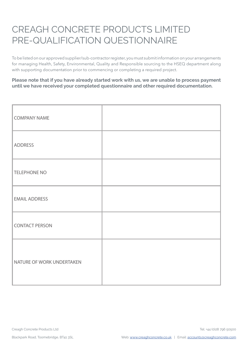# CREAGH CONCRETE PRODUCTS LIMITED PRE-QUALIFICATION QUESTIONNAIRE

To be listed on our approved supplier/sub-contractor register, you must submit information on your arrangements for managing Health, Safety, Environmental, Quality and Responsible sourcing to the HSEQ department along with supporting documentation prior to commencing or completing a required project.

**Please note that if you have already started work with us, we are unable to process payment until we have received your completed questionnaire and other required documentation.** 

| <b>COMPANY NAME</b>       |  |
|---------------------------|--|
| <b>ADDRESS</b>            |  |
| <b>TELEPHONE NO</b>       |  |
| <b>EMAIL ADDRESS</b>      |  |
| <b>CONTACT PERSON</b>     |  |
| NATURE OF WORK UNDERTAKEN |  |

Creagh Concrete Products Ltd

Tel: +44 (0)28 796 50500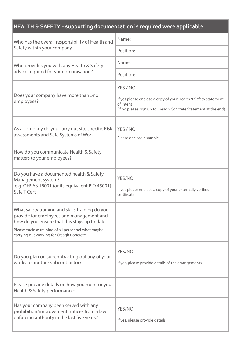| HEALTH & SAFETY - supporting documentation is required were applicable                                                                                                                                                                         |                                                                                                                                                           |  |
|------------------------------------------------------------------------------------------------------------------------------------------------------------------------------------------------------------------------------------------------|-----------------------------------------------------------------------------------------------------------------------------------------------------------|--|
| Who has the overall responsibility of Health and                                                                                                                                                                                               | Name:                                                                                                                                                     |  |
| Safety within your company                                                                                                                                                                                                                     | Position:                                                                                                                                                 |  |
| Who provides you with any Health & Safety                                                                                                                                                                                                      | Name:                                                                                                                                                     |  |
| advice required for your organisation?                                                                                                                                                                                                         | Position:                                                                                                                                                 |  |
| Does your company have more than 5no<br>employees?                                                                                                                                                                                             | YES / NO<br>If yes please enclose a copy of your Health & Safety statement<br>of intent<br>(If no please sign up to Creagh Concrete Statement at the end) |  |
| As a company do you carry out site specific Risk<br>assessments and Safe Systems of Work                                                                                                                                                       | YES / NO<br>Please enclose a sample                                                                                                                       |  |
| How do you communicate Health & Safety<br>matters to your employees?                                                                                                                                                                           |                                                                                                                                                           |  |
| Do you have a documented health & Safety<br>Management system?<br>e.g. OHSAS 18001 (or its equivalent ISO 45001)<br>Safe T Cert                                                                                                                | YES/NO<br>If yes please enclose a copy of your externally verified<br>certificate                                                                         |  |
| What safety training and skills training do you<br>provide for employees and management and<br>how do you ensure that this stays up to date<br>Please enclose training of all personnel what maybe<br>carrying out working for Creagh Concrete |                                                                                                                                                           |  |
| Do you plan on subcontracting out any of your<br>works to another subcontractor?                                                                                                                                                               | YES/NO<br>If yes, please provide details of the arrangements                                                                                              |  |
| Please provide details on how you monitor your<br>Health & Safety performance?                                                                                                                                                                 |                                                                                                                                                           |  |
| Has your company been served with any<br>prohibition/improvement notices from a law<br>enforcing authority in the last five years?                                                                                                             | YES/NO<br>If yes, please provide details                                                                                                                  |  |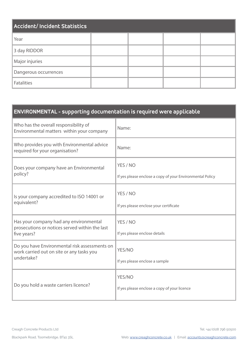| <b>Accident/ Incident Statistics</b> |  |  |  |  |
|--------------------------------------|--|--|--|--|
| Year                                 |  |  |  |  |
| 3 day RIDDOR                         |  |  |  |  |
| Major injuries                       |  |  |  |  |
| Dangerous occurrences                |  |  |  |  |
| <b>Fatalities</b>                    |  |  |  |  |

### **ENVIRONMENTAL - supporting documentation is required were applicable**

| Who has the overall responsibility of<br>Environmental matters within your company                       | Name:                                                                 |
|----------------------------------------------------------------------------------------------------------|-----------------------------------------------------------------------|
| Who provides you with Environmental advice<br>required for your organisation?                            | Name:                                                                 |
| Does your company have an Environmental<br>policy?                                                       | YES / NO<br>If yes please enclose a copy of your Environmental Policy |
| Is your company accredited to ISO 14001 or<br>equivalent?                                                | YES / NO<br>If yes please enclose your certificate                    |
| Has your company had any environmental<br>prosecutions or notices served within the last<br>five years?  | YES / NO<br>If yes please enclose details                             |
| Do you have Environmental risk assessments on<br>work carried out on site or any tasks you<br>undertake? | YES/NO<br>If yes please enclose a sample                              |
| Do you hold a waste carriers licence?                                                                    | YES/NO<br>If yes please enclose a copy of your licence                |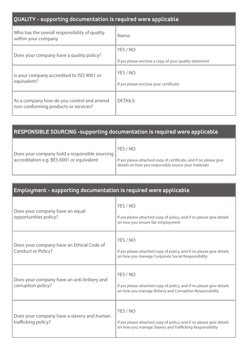### **QUALITY - supporting documentation is required were applicable**

| Who has the overall responsibility of quality<br>within your company              | Name:                                                              |
|-----------------------------------------------------------------------------------|--------------------------------------------------------------------|
| Does your company have a quality policy?                                          | YES / NO<br>If yes please enclose a copy of your quality statement |
| Is your company accredited to ISO 9001 or<br>equivalent?                          | YES / NO<br>If yes please enclose your certificate                 |
| As a company how do you control and amend<br>non-conforming products or services? | <b>DETAILS:</b>                                                    |

#### **RESPONSIBLE SOURCING -supporting documentation is required were applicable**

| Does your company hold a responsible sourcing | YES / NO                                                                                                                  |
|-----------------------------------------------|---------------------------------------------------------------------------------------------------------------------------|
| accreditation e.g. BES 6001 or equivalent     | If yes please attached copy of certificate, and if no please give<br>details on how you responsibly source your materials |

### **Employment - supporting documentation is required were applicable**  Does your company have an equal opportunities policy? YES / NO If yes please attached copy of policy, and if no please give details on how you ensure fair employment Does your company have an Ethical Code of Conduct or Policy? YES / NO If yes please attached copy of policy, and if no please give details on how you manage Corporate Social Responsibility Does your company have an anti-bribery and corruption policy? YES / NO If yes please attached copy of policy, and if no please give details on how you manage Bribery and Corruption Responsibility Does your company have a slavery and human trafficking policy? YES / NO If yes please attached copy of policy, and if no please give details on how you manage Slavery and Trafficking Responsibility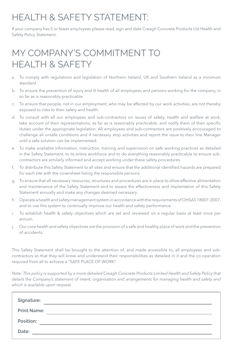# HEALTH & SAFETY STATEMENT:

If your company has 5 or fewer employees please read, sign and date Creagh Concrete Products Ltd Health and Safety Policy Statement.

# MY COMPANY'S COMMITMENT TO HEALTH & SAFETY

- a. To comply with regulations and legislation of Northern Ireland, UK and Southern Ireland as a minimum standard
- b. To ensure the prevention of injury and ill health of all employees and persons working for the company, in so far as is reasonably practicable.
- c. To ensure that people, not in our employment, who may be affected by our work activities, are not thereby exposed to risks to their safety and health.
- d. To consult with all our employees and sub-contractors on issues of safety, health and welfare at work, take account of their representations, as far as is reasonably practicable, and notify them of their specific duties under the appropriate legislation. All employees and sub-contractors are positively encouraged to challenge all unsafe conditions and if necessary stop activities and report the issue to their line Manager until a safe solution can be implemented.
- e. To make available information, instruction, training and supervision on safe working practices as detailed in the Safety Statement, to its entire workforce and to do everything reasonably practicable to ensure subcontractors are similarly informed and accept working under these safety procedures.
- f. To distribute this Safety Statement to all sites and ensure that the additional identified hazards are prepared for each site with the coversheet listing the responsible persons.
- g. To ensure that all necessary resources, structures and procedures are in place to allow effective alimentation and maintenance of the Safety Statement and to assess the effectiveness and implantation of this Safety Statement annually and make any changes deemed necessary.
- h. Operate a health and safety management system in accordance with the requirements of OHSAS 18001:2007, and to use this system to continually improve our health and safety performance
- i. To establish health & safety objectives which are set and reviewed on a regular basis at least once per annum.
- j. Our core health and safety objectives are the provision of a safe and healthy place of work and the prevention of accidents.

This Safety Statement shall be brought to the attention of, and made accessible to, all employees and subcontractors so that they will know and understand their responsibilities as detailed in it and the co-operation required from all to achieve a "SAFE PLACE OF WORK".

*Note: This policy is supported by a more detailed Creagh Concrete Products Limited Health and Safety Policy that details the Company's statement of intent, organisation and arrangements for managing health and safety and which is available upon request.*

| <b>Signature:</b>  |  |
|--------------------|--|
| <b>Print Name:</b> |  |
| <b>Position:</b>   |  |
| Date:              |  |
|                    |  |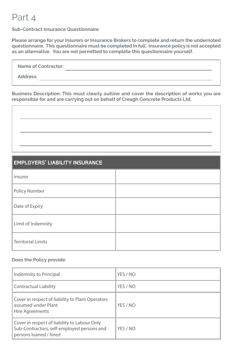# Part 4

#### **Sub-Contract Insurance Questionnaire**

**Please arrange for your Insurers or Insurance Brokers to complete and return the undernoted questionnaire. This questionnaire must be completed in full. Insurance policy is not accepted as an alternative. You are not permitted to complete this questionnaire yourself.**

| <b>Name of Contractor:</b> |  |
|----------------------------|--|
| <b>Address:</b>            |  |
|                            |  |

**Business Description: This must clearly outline and cover the description of works you are responsible for and are carrying out on behalf of Creagh Concrete Products Ltd.** 

### **EMPLOYERS' LIABILITY INSURANCE**

| Insurer                   |  |
|---------------------------|--|
| <b>Policy Number</b>      |  |
| Date of Expiry            |  |
| Limit of Indemnity        |  |
| <b>Territorial Limits</b> |  |

#### **Does the Policy provide:**

| Indemnity to Principal                                                                                               | YES / NO |
|----------------------------------------------------------------------------------------------------------------------|----------|
| <b>Contractual Liability</b>                                                                                         | YES / NO |
| Cover in respect of liability to Plant Operators<br>assumed under Plant<br>Hire Agreements                           | YES / NO |
| Cover in respect of liability to Labour Only<br>Sub-Contractors, self-employed persons and<br>persons loaned / hired | YES / NO |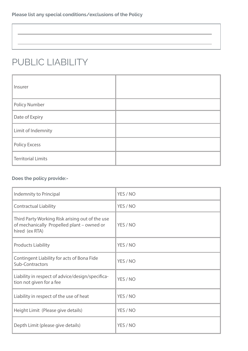# PUBLIC LIABILITY

| Insurer                   |  |
|---------------------------|--|
| <b>Policy Number</b>      |  |
| Date of Expiry            |  |
| Limit of Indemnity        |  |
| <b>Policy Excess</b>      |  |
| <b>Territorial Limits</b> |  |

### **Does the policy provide:-**

| Indemnity to Principal                                                                                          | YES / NO |
|-----------------------------------------------------------------------------------------------------------------|----------|
| <b>Contractual Liability</b>                                                                                    | YES / NO |
| Third Party Working Risk arising out of the use<br>of mechanically Propelled plant - owned or<br>hired (ex RTA) | YES / NO |
| <b>Products Liability</b>                                                                                       | YES / NO |
| Contingent Liability for acts of Bona Fide<br>Sub-Contractors                                                   | YES / NO |
| Liability in respect of advice/design/specifica-<br>tion not given for a fee                                    | YES / NO |
| Liability in respect of the use of heat                                                                         | YES / NO |
| Height Limit (Please give details)                                                                              | YES / NO |
| Depth Limit (please give details)                                                                               | YES / NO |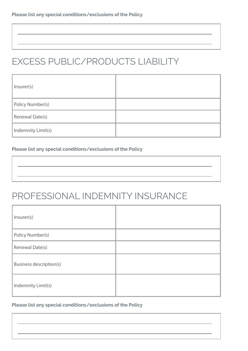# EXCESS PUBLIC/PRODUCTS LIABILITY

| Insurer(s)              |  |
|-------------------------|--|
| <b>Policy Number(s)</b> |  |
| Renewal Date(s)         |  |
| Indemnity Limit(s)      |  |

#### **Please list any special conditions/exclusions of the Policy**

# PROFESSIONAL INDEMNITY INSURANCE

| Insurer(s)                     |  |
|--------------------------------|--|
| Policy Number(s)               |  |
| Renewal Date(s)                |  |
| <b>Business description(s)</b> |  |
| Indemnity Limit(s)             |  |

#### **Please list any special conditions/exclusions of the Policy**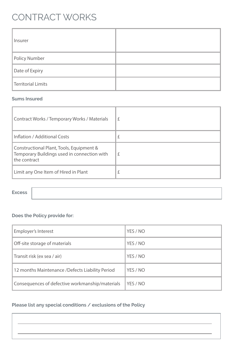# CONTRACT WORKS

| Insurer            |  |
|--------------------|--|
| Policy Number      |  |
| Date of Expiry     |  |
| Territorial Limits |  |

#### **Sums Insured**

| <b>Contract Works / Temporary Works / Materials</b>                                                     | £ |
|---------------------------------------------------------------------------------------------------------|---|
| Inflation / Additional Costs                                                                            | £ |
| Constructional Plant, Tools, Equipment &<br>Temporary Buildings used in connection with<br>the contract | £ |
| Limit any One Item of Hired in Plant                                                                    | £ |

#### **Excess**

### **Does the Policy provide for:**

| Employer's Interest                              | YES / NO |
|--------------------------------------------------|----------|
| Off-site storage of materials                    | YES / NO |
| Transit risk (ex sea / air)                      | YES / NO |
| 12 months Maintenance / Defects Liability Period | YES / NO |
| Consequences of defective workmanship/materials  | YES / NO |

### **Please list any special conditions / exclusions of the Policy**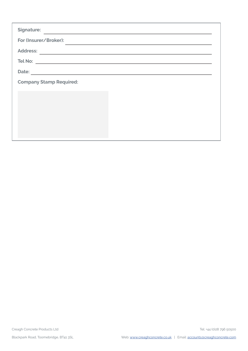| <b>Signature:</b>                                                                                                              |
|--------------------------------------------------------------------------------------------------------------------------------|
| For (Insurer/Broker):                                                                                                          |
| <b>Address:</b>                                                                                                                |
|                                                                                                                                |
| Date:<br><u> 1989 - Andrea State Barbara, amerikan personal di sebagai personal di sebagai personal di sebagai personal di</u> |
| <b>Company Stamp Required:</b>                                                                                                 |
|                                                                                                                                |
|                                                                                                                                |
|                                                                                                                                |
|                                                                                                                                |
|                                                                                                                                |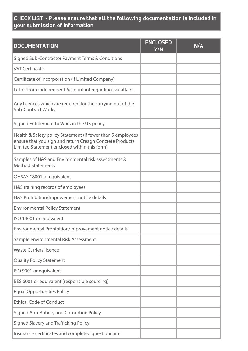### **CHECK LIST - Please ensure that all the following documentation is included in your submission of information**

| <b>DOCUMENTATION</b>                                                                                                                                                    | <b>ENCLOSED</b><br>$\overline{Y/N}$ | N/A |
|-------------------------------------------------------------------------------------------------------------------------------------------------------------------------|-------------------------------------|-----|
| Signed Sub-Contractor Payment Terms & Conditions                                                                                                                        |                                     |     |
| <b>VAT Certificate</b>                                                                                                                                                  |                                     |     |
| Certificate of Incorporation (if Limited Company)                                                                                                                       |                                     |     |
| Letter from independent Accountant regarding Tax affairs.                                                                                                               |                                     |     |
| Any licences which are required for the carrying out of the<br><b>Sub-Contract Works</b>                                                                                |                                     |     |
| Signed Entitlement to Work in the UK policy                                                                                                                             |                                     |     |
| Health & Safety policy Statement (if fewer than 5 employees<br>ensure that you sign and return Creagh Concrete Products<br>Limited Statement enclosed within this form) |                                     |     |
| Samples of H&S and Environmental risk assessments &<br><b>Method Statements</b>                                                                                         |                                     |     |
| OHSAS 18001 or equivalent                                                                                                                                               |                                     |     |
| H&S training records of employees                                                                                                                                       |                                     |     |
| H&S Prohibition/Improvement notice details                                                                                                                              |                                     |     |
| <b>Environmental Policy Statement</b>                                                                                                                                   |                                     |     |
| ISO 14001 or equivalent                                                                                                                                                 |                                     |     |
| Environmental Prohibition/Improvement notice details                                                                                                                    |                                     |     |
| Sample environmental Risk Assessment                                                                                                                                    |                                     |     |
| <b>Waste Carriers licence</b>                                                                                                                                           |                                     |     |
| <b>Quality Policy Statement</b>                                                                                                                                         |                                     |     |
| ISO 9001 or equivalent                                                                                                                                                  |                                     |     |
| BES 6001 or equivalent (responsible sourcing)                                                                                                                           |                                     |     |
| <b>Equal Opportunities Policy</b>                                                                                                                                       |                                     |     |
| <b>Ethical Code of Conduct</b>                                                                                                                                          |                                     |     |
| Signed Anti-Bribery and Corruption Policy                                                                                                                               |                                     |     |
| Signed Slavery and Trafficking Policy                                                                                                                                   |                                     |     |
| Insurance certificates and completed questionnaire                                                                                                                      |                                     |     |